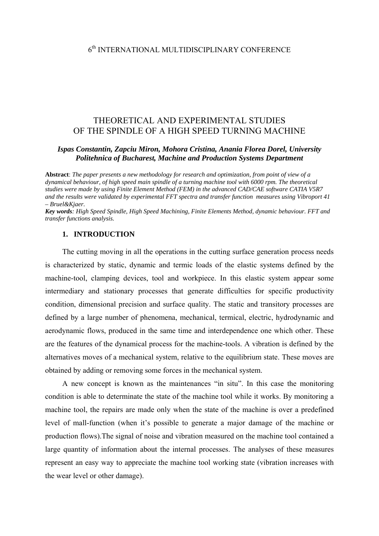# THEORETICAL AND EXPERIMENTAL STUDIES OF THE SPINDLE OF A HIGH SPEED TURNING MACHINE

## *Ispas Constantin, Zapciu Miron, Mohora Cristina, Anania Florea Dorel, University Politehnica of Bucharest, Machine and Production Systems Department*

**Abstract**: *The paper presents a new methodology for research and optimization, from point of view of a dynamical behaviour, of high speed main spindle of a turning machine tool with 6000 rpm. The theoretical studies were made by using Finite Element Method (FEM) in the advanced CAD/CAE software CATIA V5R7 and the results were validated by experimental FFT spectra and transfer function measures using Vibroport 41 – Bruel&Kjaer.* 

*Key words: High Speed Spindle, High Speed Machining, Finite Elements Method, dynamic behaviour. FFT and transfer functions analysis.* 

#### **1. INTRODUCTION**

The cutting moving in all the operations in the cutting surface generation process needs is characterized by static, dynamic and termic loads of the elastic systems defined by the machine-tool, clamping devices, tool and workpiece. In this elastic system appear some intermediary and stationary processes that generate difficulties for specific productivity condition, dimensional precision and surface quality. The static and transitory processes are defined by a large number of phenomena, mechanical, termical, electric, hydrodynamic and aerodynamic flows, produced in the same time and interdependence one which other. These are the features of the dynamical process for the machine-tools. A vibration is defined by the alternatives moves of a mechanical system, relative to the equilibrium state. These moves are obtained by adding or removing some forces in the mechanical system.

A new concept is known as the maintenances "in situ". In this case the monitoring condition is able to determinate the state of the machine tool while it works. By monitoring a machine tool, the repairs are made only when the state of the machine is over a predefined level of mall-function (when it's possible to generate a major damage of the machine or production flows).The signal of noise and vibration measured on the machine tool contained a large quantity of information about the internal processes. The analyses of these measures represent an easy way to appreciate the machine tool working state (vibration increases with the wear level or other damage).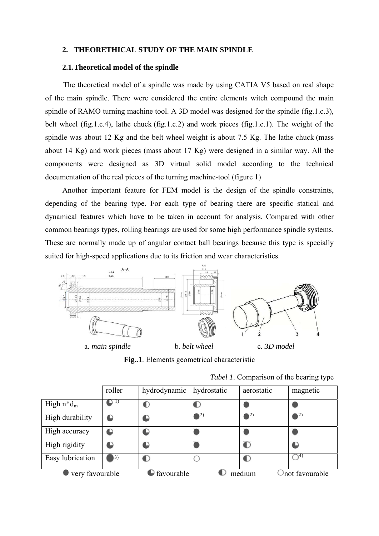# **2. THEORETHICAL STUDY OF THE MAIN SPINDLE**

# **2.1.Theoretical model of the spindle**

The theoretical model of a spindle was made by using CATIA V5 based on real shape of the main spindle. There were considered the entire elements witch compound the main spindle of RAMO turning machine tool. A 3D model was designed for the spindle (fig.1.c.3), belt wheel (fig.1.c.4), lathe chuck (fig.1.c.2) and work pieces (fig.1.c.1). The weight of the spindle was about 12 Kg and the belt wheel weight is about 7.5 Kg. The lathe chuck (mass about 14 Kg) and work pieces (mass about 17 Kg) were designed in a similar way. All the components were designed as 3D virtual solid model according to the technical documentation of the real pieces of the turning machine-tool (figure 1)

Another important feature for FEM model is the design of the spindle constraints, depending of the bearing type. For each type of bearing there are specific statical and dynamical features which have to be taken in account for analysis. Compared with other common bearings types, rolling bearings are used for some high performance spindle systems. These are normally made up of angular contact ball bearings because this type is specially suited for high-speed applications due to its friction and wear characteristics.



**Fig..1**. Elements geometrical characteristic

| Tabel 1. Comparison of the bearing type |  |  |
|-----------------------------------------|--|--|
|                                         |  |  |

|                  | roller     | hydrodynamic | hydrostatic                         | aerostatic | magnetic        |
|------------------|------------|--------------|-------------------------------------|------------|-----------------|
| High $n*d_m$     |            |              |                                     |            |                 |
| High durability  |            |              | $\blacktriangleright$ <sup>2)</sup> | YZ)        |                 |
| High accuracy    |            |              |                                     |            |                 |
| High rigidity    |            |              |                                     |            |                 |
| Easy lubrication | $\vert 3)$ | r            |                                     |            | 4)              |
| very favourable  |            | favourable   |                                     | medium     | Inot favourable |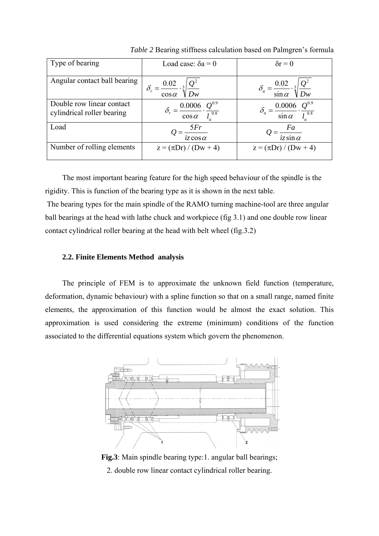| Type of bearing                                         | Load case: $\delta a = 0$                                               | $\delta r = 0$                                                             |
|---------------------------------------------------------|-------------------------------------------------------------------------|----------------------------------------------------------------------------|
| Angular contact ball bearing                            | $\delta_r = \frac{0.02}{\cos \alpha} \cdot \sqrt[3]{\frac{Q^2}{Dw}}$    | $\delta_a = \frac{0.02}{\sin \alpha} \cdot \sqrt[3]{}$<br>$\frac{Q^2}{Dw}$ |
| Double row linear contact<br>cylindrical roller bearing | $\delta_r = \frac{0.0006}{\cos \alpha} \cdot \frac{Q^{0.9}}{l_a^{0.8}}$ | $0.0006$ .<br>$\sin \alpha$                                                |
| Load                                                    | 5Fr<br>$=\frac{\sum_{i=1}^{n} r_i}{iz \cos \alpha}$                     | Fa<br>$iz \sin \alpha$                                                     |
| Number of rolling elements                              | $z = (\pi Dr) / (Dw + 4)$                                               | $z = (\pi Dr) / (Dw + 4)$                                                  |

*Table 2* Bearing stiffness calculation based on Palmgren's formula

The most important bearing feature for the high speed behaviour of the spindle is the rigidity. This is function of the bearing type as it is shown in the next table.

The bearing types for the main spindle of the RAMO turning machine-tool are three angular ball bearings at the head with lathe chuck and workpiece (fig 3.1) and one double row linear contact cylindrical roller bearing at the head with belt wheel (fig.3.2)

# **2.2. Finite Elements Method analysis**

The principle of FEM is to approximate the unknown field function (temperature, deformation, dynamic behaviour) with a spline function so that on a small range, named finite elements, the approximation of this function would be almost the exact solution. This approximation is used considering the extreme (minimum) conditions of the function associated to the differential equations system which govern the phenomenon.



**Fig.3**: Main spindle bearing type:1. angular ball bearings; 2. double row linear contact cylindrical roller bearing.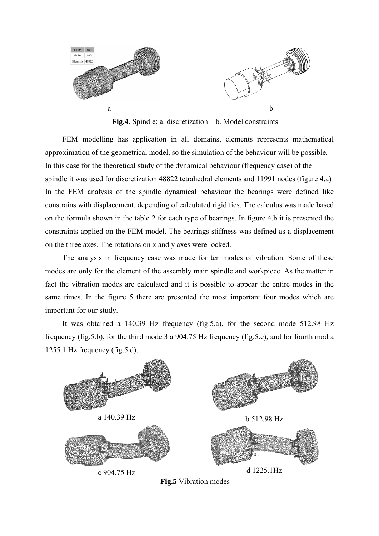

Fig.4. Spindle: a. discretization b. Model constraints

FEM modelling has application in all domains, elements represents mathematical approximation of the geometrical model, so the simulation of the behaviour will be possible. In this case for the theoretical study of the dynamical behaviour (frequency case) of the spindle it was used for discretization 48822 tetrahedral elements and 11991 nodes (figure 4.a) In the FEM analysis of the spindle dynamical behaviour the bearings were defined like constrains with displacement, depending of calculated rigidities. The calculus was made based on the formula shown in the table 2 for each type of bearings. In figure 4.b it is presented the constraints applied on the FEM model. The bearings stiffness was defined as a displacement on the three axes. The rotations on x and y axes were locked.

The analysis in frequency case was made for ten modes of vibration. Some of these modes are only for the element of the assembly main spindle and workpiece. As the matter in fact the vibration modes are calculated and it is possible to appear the entire modes in the same times. In the figure 5 there are presented the most important four modes which are important for our study.

It was obtained a 140.39 Hz frequency (fig.5.a), for the second mode 512.98 Hz frequency (fig.5.b), for the third mode 3 a 904.75 Hz frequency (fig.5.c), and for fourth mod a 1255.1 Hz frequency (fig.5.d).



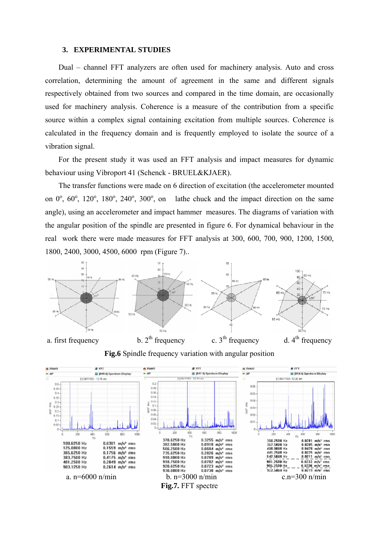#### **3. EXPERIMENTAL STUDIES**

Dual – channel FFT analyzers are often used for machinery analysis. Auto and cross correlation, determining the amount of agreement in the same and different signals respectively obtained from two sources and compared in the time domain, are occasionally used for machinery analysis. Coherence is a measure of the contribution from a specific source within a complex signal containing excitation from multiple sources. Coherence is calculated in the frequency domain and is frequently employed to isolate the source of a vibration signal.

For the present study it was used an FFT analysis and impact measures for dynamic behaviour using Vibroport 41 (Schenck - BRUEL&KJAER).

The transfer functions were made on 6 direction of excitation (the accelerometer mounted on  $0^\circ$ ,  $60^\circ$ ,  $120^\circ$ ,  $180^\circ$ ,  $240^\circ$ ,  $300^\circ$ , on lathe chuck and the impact direction on the same angle), using an accelerometer and impact hammer measures. The diagrams of variation with the angular position of the spindle are presented in figure 6. For dynamical behaviour in the real work there were made measures for FFT analysis at 300, 600, 700, 900, 1200, 1500, 1800, 2400, 3000, 4500, 6000 rpm (Figure 7)..



**Fig.6** Spindle frequency variation with angular position